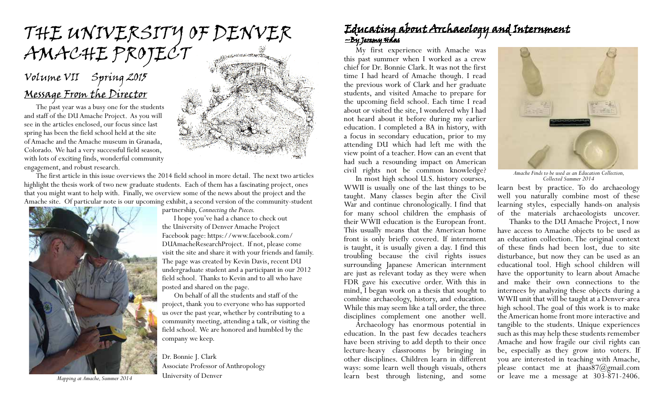# the university of denver AMACHE PROJECT

## Message From the Director Volume VII Spring 2015

The past year was a busy one for the students and staff of the DU Amache Project. As you will see in the articles enclosed, our focus since last spring has been the field school held at the site of Amache and the Amache museum in Granada, Colorado. We had a very successful field season, with lots of exciting finds, wonderful community engagement, and robust research.



The first article in this issue overviews the 2014 field school in more detail. The next two articles highlight the thesis work of two new graduate students. Each of them has a fascinating project, ones that you might want to help with. Finally, we overview some of the news about the project and the Amache site. Of particular note is our upcoming exhibit, a second version of the community-student



University of Denver *Mapping at Amache, Summer 2014*

partnership, *Connecting the Pieces.*

I hope you've had a chance to check out the University of Denver Amache Project Facebook page: https://www.facebook.com/ DUAmacheResearchProject. If not, please come visit the site and share it with your friends and family. The page was created by Kevin Davis, recent DU undergraduate student and a participant in our 2012 field school. Thanks to Kevin and to all who have posted and shared on the page.

On behalf of all the students and staff of the project, thank you to everyone who has supported us over the past year, whether by contributing to a community meeting, attending a talk, or visiting the field school. We are honored and humbled by the company we keep.

Dr. Bonnie J. Clark Associate Professor of Anthropology

#### Educating about Archaeology and Internment <u>~By Jeremy Háas</u>

My first experience with Amache was this past summer when I worked as a crew chief for Dr. Bonnie Clark. It was not the first time I had heard of Amache though. I read the previous work of Clark and her graduate students, and visited Amache to prepare for the upcoming field school. Each time I read about or visited the site, I wondered why I had not heard about it before during my earlier education. I completed a BA in history, with a focus in secondary education, prior to my attending DU which had left me with the view point of a teacher. How can an event that had such a resounding impact on American civil rights not be common knowledge?

In most high school U.S. history courses, WWII is usually one of the last things to be taught. Many classes begin after the Civil War and continue chronologically. I find that for many school children the emphasis of their WWII education is the European front. This usually means that the American home front is only briefly covered. If internment is taught, it is usually given a day. I find this troubling because the civil rights issues surrounding Japanese American internment are just as relevant today as they were when FDR gave his executive order. With this in mind, I began work on a thesis that sought to combine archaeology, history, and education. While this may seem like a tall order, the three disciplines complement one another well.

Archaeology has enormous potential in education. In the past few decades teachers have been striving to add depth to their once lecture-heavy classrooms by bringing in other disciplines. Children learn in different ways: some learn well though visuals, others learn best through listening, and some



*Amache Finds to be used as an Education Collection, Collected Summer 2014*

learn best by practice. To do archaeology well you naturally combine most of these learning styles, especially hands-on analysis of the materials archaeologists uncover.

Thanks to the DU Amache Project, I now have access to Amache objects to be used as an education collection. The original context of these finds had been lost, due to site disturbance, but now they can be used as an educational tool. High school children will have the opportunity to learn about Amache and make their own connections to the internees by analyzing these objects during a WWII unit that will be taught at a Denver-area high school. The goal of this work is to make the American home front more interactive and tangible to the students. Unique experiences such as this may help these students remember Amache and how fragile our civil rights can be, especially as they grow into voters. If you are interested in teaching with Amache, please contact me at jhaas87@gmail.com or leave me a message at 303-871-2406.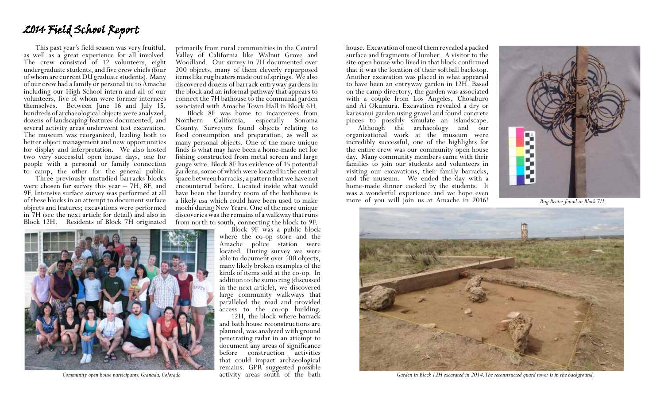### 2014 Field School Report

This past year's field season was very fruitful, as well as a great experience for all involved. The crew consisted of 12 volunteers, eight undergraduate students, and five crew chiefs (four of whom are current DU graduate students). Many of our crew had a family or personal tie to Amache including our High School intern and all of our volunteers, five of whom were former internees themselves. Between June 16 and July 15, hundreds of archaeological objects were analyzed, dozens of landscaping features documented, and several activity areas underwent test excavation. The museum was reorganized, leading both to better object management and new opportunities for display and interpretation. We also hosted two very successful open house days, one for people with a personal or family connection

to camp, the other for the general public. Three previously unstudied barracks blocks were chosen for survey this year – 7H, 8F, and 9F. Intensive surface survey was performed at all of these blocks in an attempt to document surface objects and features; excavations were performed in 7H (see the next article for detail) and also in Block 12H. Residents of Block 7H originated



primarily from rural communities in the Central Valley of California like Walnut Grove and Woodland. Our survey in 7H documented over 200 objects, many of them cleverly repurposed items like rug beaters made out of springs. We also discovered dozens of barrack entryway gardens in the block and an informal pathway that appears to connect the 7H bathouse to the communal garden associated with Amache Town Hall in Block 6H.

Block 8F was home to incarcerees from Northern California, especially Sonoma County. Surveyors found objects relating to food consumption and preparation, as well as many personal objects. One of the more unique finds is what may have been a home-made net for fishing constructed from metal screen and large gauge wire. Block 8F has evidence of 15 potential gardens, some of which were located in the central space between barracks, a pattern that we have not encountered before. Located inside what would have been the laundry room of the bathhouse is a likely *usu* which could have been used to make mochi during New Years. One of the more unique discoveries was the remains of a walkway that runs from north to south, connecting the block to 9F.

access to the co-op building. 12H, the block where barrack

house. Excavation of one of them revealed a packed surface and fragments of lumber. A visitor to the site open house who lived in that block confirmed that it was the location of their softball backstop. Another excavation was placed in what appeared to have been an entryway garden in 12H. Based on the camp directory, the garden was associated with a couple from Los Angeles, Chosaburo and Ai Okumura. Excavation revealed a dry or karesanui garden using gravel and found concrete

philosophe the archaeology and our organizational work at the museum were incredibly successful, one of the highlights for the entire crew was our community open house day. Many community members came with their families to join our students and volunteers in visiting our excavations, their family barracks, and the museum. We ended the day with a home-made dinner cooked by the students. It was a wonderful experience and we hope even more of you will join us at Amache in 2016! *Rug Beater found in Block 7H* 





*Community open house participants, Granada, Colorado* activity areas south of the bath *Garden in Block 12H excavated in 2014. The reconstructed guard tower is in the background.*

Block 9F was a public block where the co-op store and the Amache police station were located. During survey we were able to document over 100 objects, many likely broken examples of the kinds of items sold at the co-op. In addition to the sumo ring (discussed in the next article), we discovered large community walkways that paralleled the road and provided

and bath house reconstructions are planned, was analyzed with ground penetrating radar in an attempt to document any areas of significance before construction activities that could impact archaeological remains. GPR suggested possible<br>activity areas south of the bath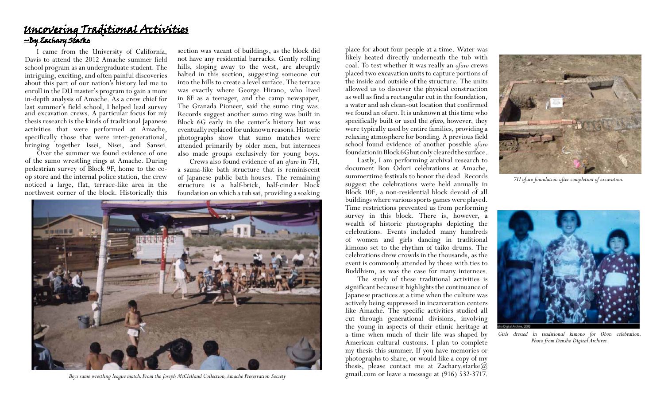#### Uncovering Traditional Activities ~By Zachary Starke

I came from the University of California, Davis to attend the 2012 Amache summer field school program as an undergraduate student. The intriguing, exciting, and often painful discoveries about this part of our nation's history led me to enroll in the DU master's program to gain a more in-depth analysis of Amache. As a crew chief for last summer's field school, I helped lead survey and excavation crews. A particular focus for my thesis research is the kinds of traditional Japanese activities that were performed at Amache, specifically those that were inter-generational, bringing together Issei, Nisei, and Sansei.

Over the summer we found evidence of one of the sumo wrestling rings at Amache. During pedestrian survey of Block 9F, home to the coop store and the internal police station, the crew noticed a large, flat, terrace-like area in the northwest corner of the block. Historically this section was vacant of buildings, as the block did not have any residential barracks. Gently rolling hills, sloping away to the west, are abruptly halted in this section, suggesting someone cut into the hills to create a level surface. The terrace was exactly where George Hirano, who lived in 8F as a teenager, and the camp newspaper, The Granada Pioneer, said the sumo ring was. Records suggest another sumo ring was built in Block 6G early in the center's history but was eventually replaced for unknown reasons. Historic photographs show that sumo matches were attended primarily by older men, but internees also made groups exclusively for young boys.

Crews also found evidence of an *ofuro* in 7H, a sauna-like bath structure that is reminiscent of Japanese public bath houses. The remaining structure is a half-brick, half-cinder block foundation on which a tub sat, providing a soaking



*Boys sumo wrestling league match. From the Joseph McClelland Collection, Amache Preservation Society*

place for about four people at a time. Water was likely heated directly underneath the tub with coal. To test whether it was really an *ofuro* crews placed two excavation units to capture portions of the inside and outside of the structure. The units allowed us to discover the physical construction as well as find a rectangular cut in the foundation, a water and ash clean-out location that confirmed we found an ofuro. It is unknown at this time who specifically built or used the *ofuro*, however, they were typically used by entire families, providing a relaxing atmosphere for bonding. A previous field school found evidence of another possible *ofuro* foundation in Block 6G but only cleared the surface.

Lastly, I am performing archival research to document Bon Odori celebrations at Amache, summertime festivals to honor the dead. Records suggest the celebrations were held annually in Block 10F, a non-residential block devoid of all buildings where various sports games were played. Time restrictions prevented us from performing survey in this block. There is, however, a wealth of historic photographs depicting the celebrations. Events included many hundreds of women and girls dancing in traditional kimono set to the rhythm of taiko drums. The celebrations drew crowds in the thousands, as the event is commonly attended by those with ties to Buddhism, as was the case for many internees.

The study of these traditional activities is significant because it highlights the continuance of Japanese practices at a time when the culture was actively being suppressed in incarceration centers like Amache. The specific activities studied all cut through generational divisions, involving the young in aspects of their ethnic heritage at a time when much of their life was shaped by American cultural customs. I plan to complete my thesis this summer. If you have memories or photographs to share, or would like a copy of my thesis, please contact me at Zachary.starke@ gmail.com or leave a message at (916) 532-3717.



*7H ofuro foundation after completion of excavation.*



*Girls dressed in traditional kimono for Obon celebration. Photo from Densho Digital Archives.*